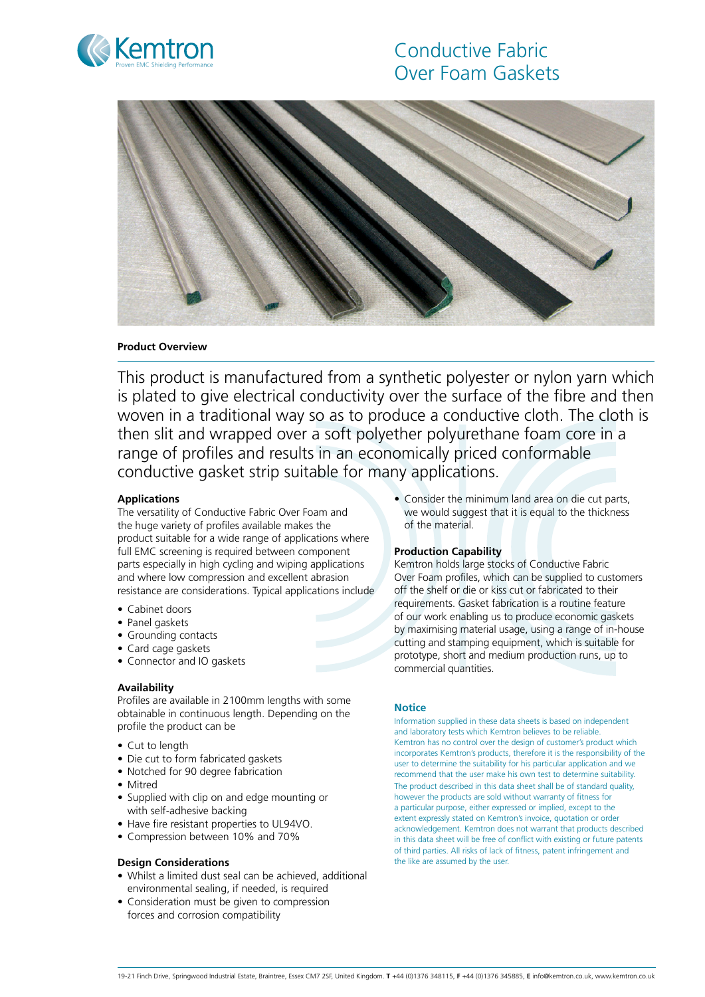



# **Product Overview**

This product is manufactured from a synthetic polyester or nylon yarn which is plated to give electrical conductivity over the surface of the fibre and then woven in a traditional way so as to produce a conductive cloth. The cloth is then slit and wrapped over a soft polyether polyurethane foam core in a range of profiles and results in an economically priced conformable conductive gasket strip suitable for many applications.

# **Applications**

The versatility of Conductive Fabric Over Foam and the huge variety of profiles available makes the product suitable for a wide range of applications where full EMC screening is required between component parts especially in high cycling and wiping applications and where low compression and excellent abrasion resistance are considerations. Typical applications include

- Cabinet doors
- Panel gaskets
- Grounding contacts
- Card cage gaskets
- Connector and IO gaskets

## **Availability**

Profiles are available in 2100mm lengths with some obtainable in continuous length. Depending on the profile the product can be

- Cut to length
- Die cut to form fabricated gaskets
- Notched for 90 degree fabrication
- Mitred
- Supplied with clip on and edge mounting or with self-adhesive backing
- Have fire resistant properties to UL94VO.
- Compression between 10% and 70%

## **Design Considerations**

- Whilst a limited dust seal can be achieved, additional environmental sealing, if needed, is required
- Consideration must be given to compression forces and corrosion compatibility

• Consider the minimum land area on die cut parts, we would suggest that it is equal to the thickness of the material.

## **Production Capability**

Kemtron holds large stocks of Conductive Fabric Over Foam profiles, which can be supplied to customers off the shelf or die or kiss cut or fabricated to their requirements. Gasket fabrication is a routine feature of our work enabling us to produce economic gaskets by maximising material usage, using a range of in-house cutting and stamping equipment, which is suitable for prototype, short and medium production runs, up to commercial quantities.

### **Notice**

Information supplied in these data sheets is based on independent and laboratory tests which Kemtron believes to be reliable. Kemtron has no control over the design of customer's product which incorporates Kemtron's products, therefore it is the responsibility of the user to determine the suitability for his particular application and we recommend that the user make his own test to determine suitability. The product described in this data sheet shall be of standard quality however the products are sold without warranty of fitness for a particular purpose, either expressed or implied, except to the extent expressly stated on Kemtron's invoice, quotation or order acknowledgement. Kemtron does not warrant that products described in this data sheet will be free of conflict with existing or future patents of third parties. All risks of lack of fitness, patent infringement and the like are assumed by the user.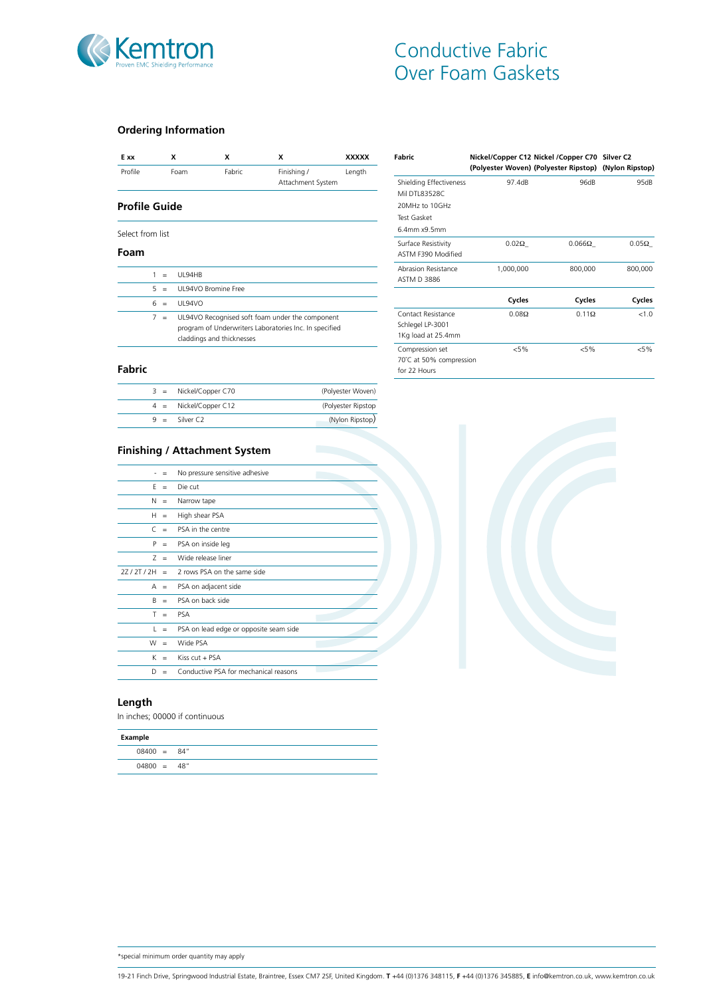

# **Ordering Information**

| E xx             |                     | x                         | x      | x                                                      | <b>XXXXX</b> |
|------------------|---------------------|---------------------------|--------|--------------------------------------------------------|--------------|
| Profile          |                     | Foam                      | Fabric | Finishing /                                            | Length       |
|                  |                     |                           |        | Attachment System                                      |              |
| Profile Guide    |                     |                           |        |                                                        |              |
| Select from list |                     |                           |        |                                                        |              |
| Foam             |                     |                           |        |                                                        |              |
|                  | $\mathbf{1}$<br>$=$ | <b>UI 94HB</b>            |        |                                                        |              |
|                  | 5<br>$=$            | UI 94VO Bromine Free      |        |                                                        |              |
|                  | 6<br>$=$            | <b>UI 94VO</b>            |        |                                                        |              |
|                  | 7<br>$=$            |                           |        | UL94VO Recognised soft foam under the component        |              |
|                  |                     |                           |        | program of Underwriters Laboratories Inc. In specified |              |
|                  |                     | claddings and thicknesses |        |                                                        |              |

| Fabric                  |              | Nickel/Copper C12 Nickel /Copper C70 Silver C2<br>(Polyester Woven) (Polyester Ripstop) (Nylon Ripstop) |              |
|-------------------------|--------------|---------------------------------------------------------------------------------------------------------|--------------|
| Shielding Effectiveness | 97.4dB       | 96dB                                                                                                    | 95dB         |
| Mil DTI 83528C          |              |                                                                                                         |              |
| 20MHz to 10GHz          |              |                                                                                                         |              |
| Test Gasket             |              |                                                                                                         |              |
| 6.4mm x9.5mm            |              |                                                                                                         |              |
| Surface Resistivity     | $0.02\Omega$ | $0.066\Omega$                                                                                           | $0.05\Omega$ |
| ASTM F390 Modified      |              |                                                                                                         |              |
| Abrasion Resistance     | 1,000,000    | 800,000                                                                                                 | 800,000      |
| ASTM D 3886             |              |                                                                                                         |              |
|                         | Cycles       | Cycles                                                                                                  | Cycles       |
| Contact Resistance      | $0.08\Omega$ | $0.11\Omega$                                                                                            | < 1.0        |
| Schlegel LP-3001        |              |                                                                                                         |              |
| 1Kg load at 25.4mm      |              |                                                                                                         |              |
| Compression set         | $< 5\%$      | $< 5\%$                                                                                                 | $< 5\%$      |
| 70°C at 50% compression |              |                                                                                                         |              |
| for 22 Hours            |              |                                                                                                         |              |

# **Fabric**

| $9 =$ Silver C2         | (Nylon Ripstop)     |
|-------------------------|---------------------|
| $4 =$ Nickel/Copper C12 | (Polyester Ripstop) |
| $3 =$ Nickel/Copper C70 | (Polyester Woven)   |

# **Finishing / Attachment System**

|           |          | No pressure sensitive adhesive         |
|-----------|----------|----------------------------------------|
| F         | $=$      | Die cut                                |
| N         | $=$      | Narrow tape                            |
| H         | $\equiv$ | High shear PSA                         |
| $\subset$ | $=$      | PSA in the centre                      |
| P         | $\equiv$ | PSA on inside leg                      |
| 7         | $=$      | Wide release liner                     |
| 27/2T/2H  | $=$      | 2 rows PSA on the same side            |
| A         | $\equiv$ | PSA on adjacent side                   |
| B         | $=$      | PSA on back side                       |
| T         | $=$      | <b>PSA</b>                             |
| L         | $=$      | PSA on lead edge or opposite seam side |
| W         | $=$      | Wide PSA                               |
| K         | $=$      | Kiss $cut + PSA$                       |
| D         | $=$      | Conductive PSA for mechanical reasons  |

# **Length**

In inches; 00000 if continuous

| Example       |  |
|---------------|--|
| $08400 = 84"$ |  |
| $04800 = 48"$ |  |



\*special minimum order quantity may apply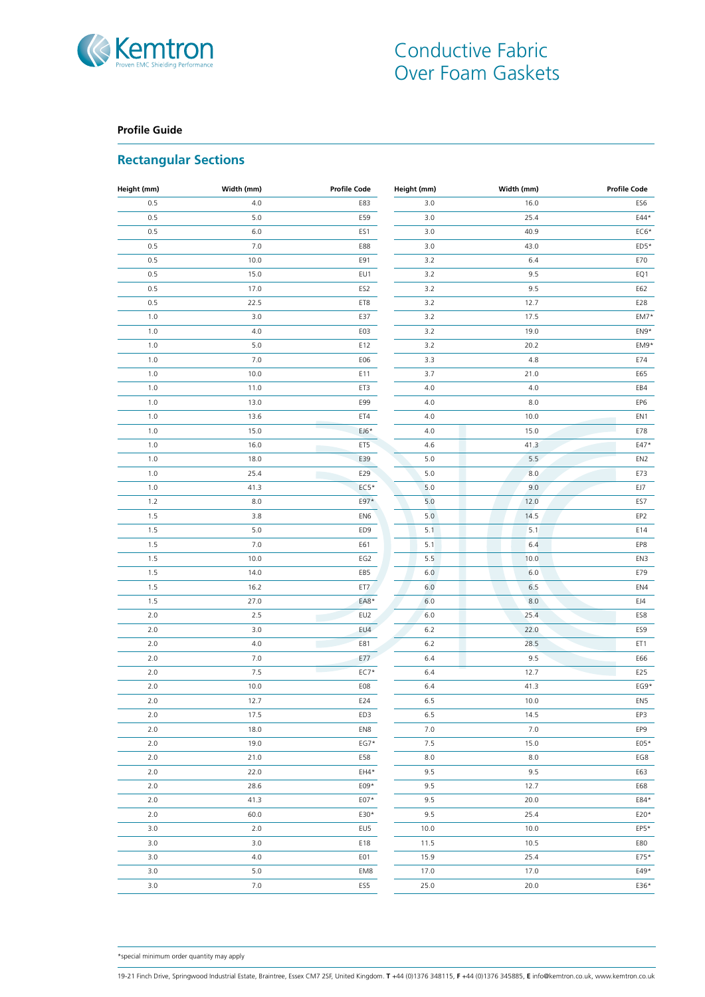

# **Profile Guide**

# **Rectangular Sections**

| Height (mm) | Width (mm) | <b>Profile Code</b> | Height (mm) | Width (mm) | <b>Profile Code</b> |
|-------------|------------|---------------------|-------------|------------|---------------------|
| 0.5         | $4.0\,$    | E83                 | 3.0         | 16.0       | ES6                 |
| 0.5         | $5.0$      | E59                 | 3.0         | 25.4       | E44*                |
| 0.5         | 6.0        | ES1                 | 3.0         | 40.9       | $EC6*$              |
| 0.5         | $7.0\,$    | E88                 | 3.0         | 43.0       | ED5*                |
| 0.5         | 10.0       | E91                 | 3.2         | 6.4        | E70                 |
| 0.5         | 15.0       | EU1                 | 3.2         | 9.5        | EQ1                 |
| 0.5         | 17.0       | ES2                 | 3.2         | 9.5        | E62                 |
| 0.5         | 22.5       | ET8                 | 3.2         | 12.7       | E28                 |
| 1.0         | 3.0        | E37                 | 3.2         | 17.5       | EM7*                |
| 1.0         | 4.0        | E03                 | 3.2         | 19.0       | EN9*                |
| 1.0         | 5.0        | E12                 | 3.2         | 20.2       | EM9*                |
| 1.0         | $7.0$      | E06                 | 3.3         | 4.8        | E74                 |
| 1.0         | 10.0       | E11                 | 3.7         | 21.0       | E65                 |
| 1.0         | 11.0       | ET3                 | 4.0         | $4.0\,$    | EB4                 |
| 1.0         | 13.0       | E99                 | 4.0         | $8.0\,$    | EP6                 |
| 1.0         | 13.6       | ET4                 | 4.0         | 10.0       | EN1                 |
| 1.0         | 15.0       | $EJ6*$              | 4.0         | 15.0       | E78                 |
| 1.0         | 16.0       | ET5                 | 4.6         | 41.3       | E47*                |
| 1.0         | 18.0       | E39                 | $5.0$       | 5.5        | EN <sub>2</sub>     |
| 1.0         | 25.4       | E29<br>n.           | $5.0$       | 8.0        | E73                 |
| 1.0         | 41.3       | $EC5*$              | 5.0         | 9.0        | EJ7                 |
| $1.2$       | 8.0        | E97*                | 5.0         | 12.0       | ES7                 |
| 1.5         | 3.8        | EN <sub>6</sub>     | 5.0         | 14.5       | EP <sub>2</sub>     |
| 1.5         | $5.0$      | ED9                 | 5.1         | 5.1        | E14                 |
| 1.5         | $7.0$      | E61                 | 5.1         | 6.4        | EP8                 |
| 1.5         | 10.0       | EG2                 | 5.5         | 10.0       | EN3                 |
| 1.5         | 14.0       | EB5                 | $6.0\,$     | 6.0        | E79                 |
| 1.5         | 16.2       | ET7                 | 6.0         | 6.5        | EN4                 |
| 1.5         | 27.0       | EA8*                | 6.0         | 8.0        | EJ4                 |
| 2.0         | 2.5        | EU2                 | 6.0         | 25.4       | ES8                 |
| 2.0         | 3.0        | EU4                 | $6.2\,$     | 22.0       | ES9                 |
| 2.0         | 4.0        | E81<br>П            | $6.2\,$     | 28.5       | ET1                 |
| 2.0         | $7.0\,$    | E77                 | 6.4         | 9.5        | E66                 |
| 2.0         | $7.5\,$    | $EC7*$              | 6.4         | 12.7       | E25                 |
| $2.0$       | 10.0       | E08                 | 6.4         | 41.3       | EG9*                |
| $2.0$       | 12.7       | E24                 | $6.5\,$     | 10.0       | EN5                 |
| $2.0\,$     | 17.5       | ED3                 | $6.5\,$     | 14.5       | EP3                 |
| 2.0         | 18.0       | EN8                 | 7.0         | 7.0        | EP9                 |
| $2.0$       | 19.0       | $EG7*$              | 7.5         | 15.0       | E05*                |
| 2.0         | 21.0       | E58                 | 8.0         | $8.0\,$    | EG8                 |
| 2.0         | 22.0       | EH4*                | 9.5         | 9.5        | E63                 |
| 2.0         | 28.6       | E09*                | 9.5         | 12.7       | E68                 |
| 2.0         | 41.3       | $E07*$              | 9.5         | 20.0       | E84*                |
| 2.0         | 60.0       | E30*                | 9.5         | 25.4       | E20*                |
| 3.0         | 2.0        | EU5                 | 10.0        | 10.0       | $EP5*$              |
| 3.0         | 3.0        | E18                 | 11.5        | 10.5       | E80                 |
| 3.0         | 4.0        | EO1                 | 15.9        | 25.4       | E75*                |
| 3.0         | 5.0        | EM8                 | 17.0        | 17.0       | E49*                |
| 3.0         | 7.0        | ES5                 | 25.0        | 20.0       | E36*                |
|             |            |                     |             |            |                     |

\*special minimum order quantity may apply

19-21 Finch Drive, Springwood Industrial Estate, Braintree, Essex CM7 2SF, United Kingdom. **T** +44 (0)1376 348115, **F** +44 (0)1376 345885, **E** info@kemtron.co.uk, www.kemtron.co.uk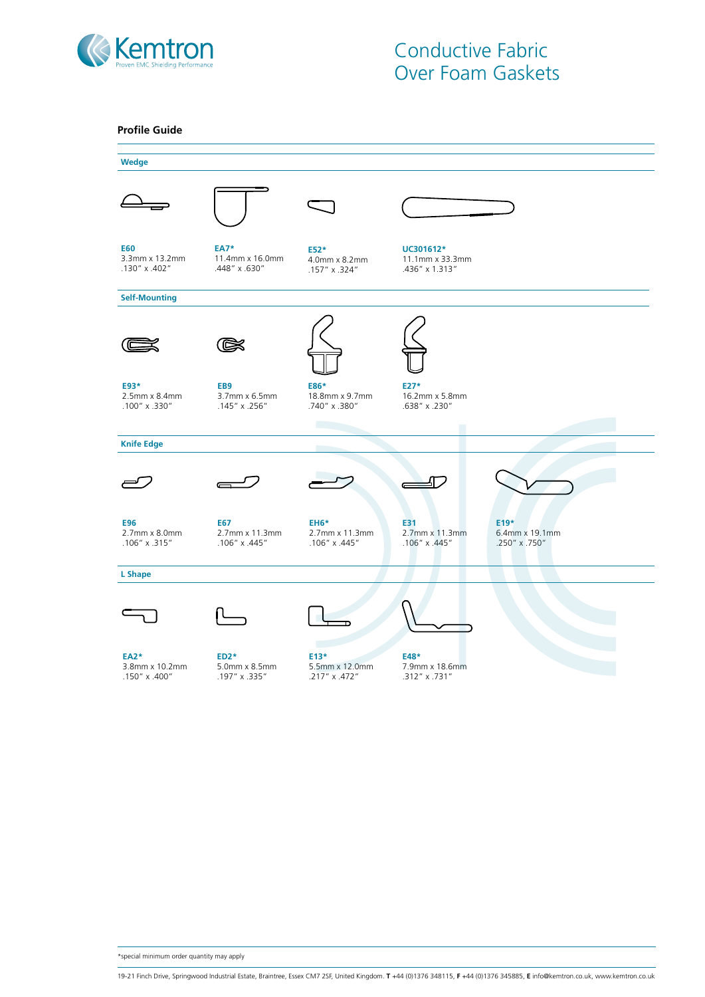



\*special minimum order quantity may apply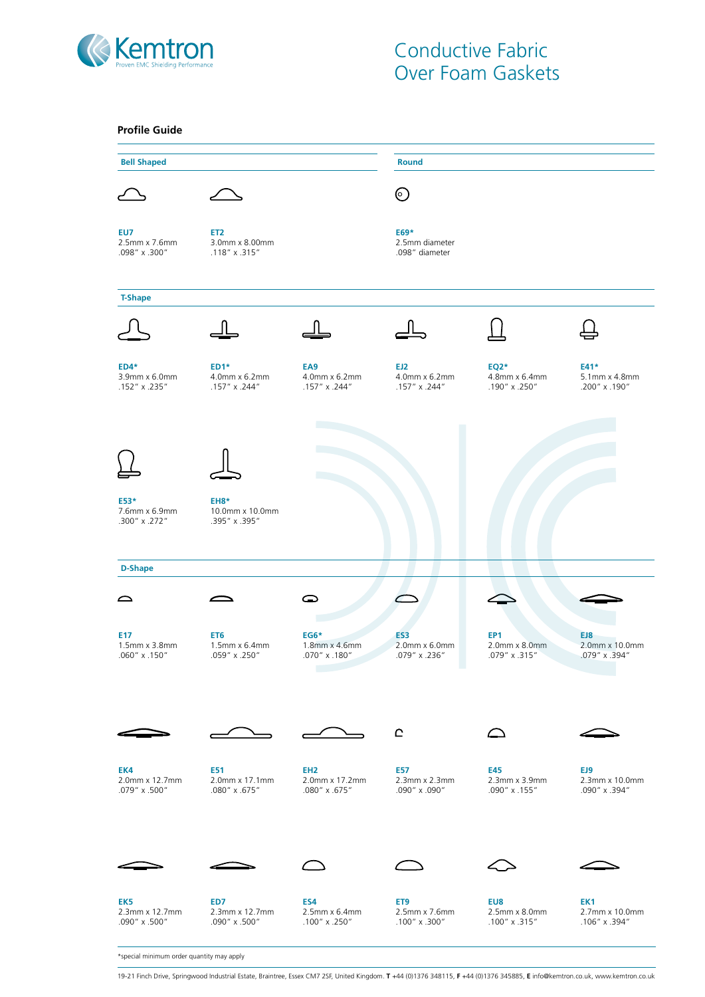

| <b>Profile Guide</b>                     |                                                         |                                                    |                                          |                                                   |                                        |
|------------------------------------------|---------------------------------------------------------|----------------------------------------------------|------------------------------------------|---------------------------------------------------|----------------------------------------|
| <b>Bell Shaped</b>                       |                                                         |                                                    | <b>Round</b>                             |                                                   |                                        |
|                                          |                                                         |                                                    | $\odot$                                  |                                                   |                                        |
| EU7<br>2.5mm x 7.6mm<br>.098" x .300"    | ET <sub>2</sub><br>3.0mm x 8.00mm<br>.118" x .315"      |                                                    | E69*<br>2.5mm diameter<br>.098" diameter |                                                   |                                        |
| <b>T-Shape</b>                           |                                                         |                                                    |                                          |                                                   |                                        |
|                                          |                                                         |                                                    |                                          |                                                   |                                        |
| $ED4*$<br>3.9mm x 6.0mm<br>.152" x .235" | $ED1*$<br>4.0mm x 6.2mm<br>.157" x .244"                | EA <sub>9</sub><br>4.0mm x 6.2mm<br>.157" x .244"  | EJ2<br>4.0mm x 6.2mm<br>.157" x .244"    | <b>EQ2*</b><br>4.8mm x 6.4mm<br>.190" x .250"     | E41*<br>5.1mm x 4.8mm<br>.200" x .190" |
|                                          |                                                         |                                                    |                                          |                                                   |                                        |
| E53*<br>7.6mm x 6.9mm<br>.300" x .272"   | EH8*<br>10.0mm x 10.0mm<br>.395" x .395"                |                                                    |                                          |                                                   |                                        |
| <b>D-Shape</b>                           |                                                         |                                                    |                                          |                                                   |                                        |
| $\sum$                                   |                                                         | ○                                                  |                                          |                                                   |                                        |
| E17<br>1.5mm x 3.8mm<br>.060" x .150"    | ET <sub>6</sub><br>1.5mm x 6.4mm<br>$.059''$ x $.250''$ | $EG6*$<br>1.8mm x 4.6mm<br>.070" x .180"           | ES3<br>2.0mm x 6.0mm<br>.079" x .236"    | EP <sub>1</sub><br>2.0mm x 8.0mm<br>.079" x .315" | EJ8<br>2.0mm x 10.0mm<br>.079" x .394" |
|                                          |                                                         |                                                    | $\mathbf{C}$                             |                                                   |                                        |
| EK4<br>2.0mm x 12.7mm<br>.079" x .500"   | E51<br>2.0mm x 17.1mm<br>.080" x .675"                  | EH <sub>2</sub><br>2.0mm x 17.2mm<br>.080" x .675" | E57<br>2.3mm x 2.3mm<br>.090" x .090"    | E45<br>2.3mm x 3.9mm<br>.090" x .155"             | EJ9<br>2.3mm x 10.0mm<br>.090" x .394" |
|                                          |                                                         |                                                    |                                          |                                                   |                                        |
| EK5<br>2.3mm x 12.7mm<br>.090" x .500"   | ED7<br>2.3mm x 12.7mm<br>.090" x .500"                  | ES4<br>2.5mm x 6.4mm<br>.100" x .250"              | ET9<br>2.5mm x 7.6mm<br>.100" x .300"    | EU8<br>2.5mm x 8.0mm<br>.100" x .315"             | EK1<br>2.7mm x 10.0mm<br>.106" x .394" |

\*special minimum order quantity may apply

19-21 Finch Drive, Springwood Industrial Estate, Braintree, Essex CM7 2SF, United Kingdom. **T** +44 (0)1376 348115, **F** +44 (0)1376 345885, **E** info@kemtron.co.uk, www.kemtron.co.uk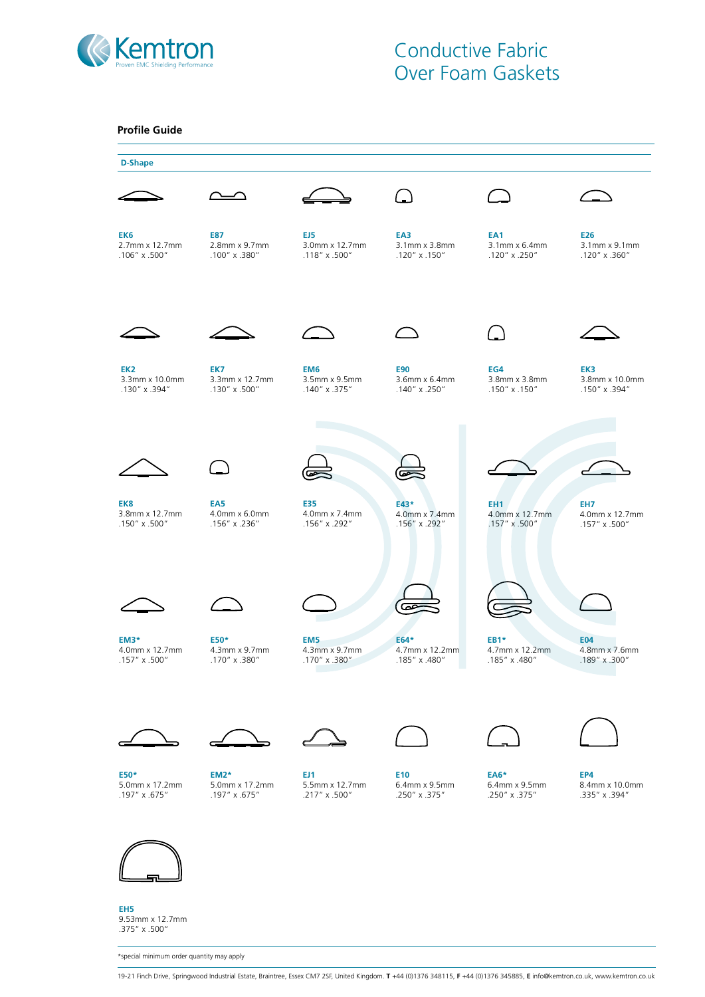

| <b>D-Shape</b>                  |                                 |                                       |                                         |                                 |                                 |  |
|---------------------------------|---------------------------------|---------------------------------------|-----------------------------------------|---------------------------------|---------------------------------|--|
|                                 |                                 |                                       |                                         |                                 |                                 |  |
|                                 |                                 |                                       |                                         |                                 |                                 |  |
| EK6                             | E87                             | EJ5                                   | EA3                                     | EA1                             | E26                             |  |
| 2.7mm x 12.7mm<br>.106" x .500" | 2.8mm x 9.7mm<br>.100" x .380"  | 3.0mm x 12.7mm<br>$.118''$ x $.500''$ | 3.1mm x 3.8mm<br>$.120'' \times .150''$ | 3.1mm x 6.4mm<br>.120" x .250"  | 3.1mm x 9.1mm<br>.120" x .360"  |  |
|                                 |                                 |                                       |                                         |                                 |                                 |  |
|                                 |                                 |                                       |                                         |                                 |                                 |  |
|                                 |                                 |                                       |                                         | $\mathcal{L}_{\perp}$           |                                 |  |
| EK <sub>2</sub>                 | EK7                             | EM <sub>6</sub>                       | <b>E90</b>                              | EG4                             | EK3                             |  |
| 3.3mm x 10.0mm<br>.130" x .394" | 3.3mm x 12.7mm<br>.130" x .500" | 3.5mm x 9.5mm<br>.140" x .375"        | 3.6mm x 6.4mm<br>.140" x .250"          | 3.8mm x 3.8mm<br>.150" x .150"  | 3.8mm x 10.0mm<br>.150" x .394" |  |
|                                 |                                 |                                       |                                         |                                 |                                 |  |
|                                 |                                 |                                       |                                         |                                 |                                 |  |
|                                 |                                 |                                       |                                         |                                 |                                 |  |
| EK8                             | EA <sub>5</sub>                 | E35                                   | E43*                                    | EH <sub>1</sub>                 | EH <sub>7</sub>                 |  |
| 3.8mm x 12.7mm<br>.150" x .500" | 4.0mm x 6.0mm<br>.156" x .236"  | 4.0mm x 7.4mm<br>.156" x .292"        | 4.0mm x 7.4mm<br>.156" x .292"          | 4.0mm x 12.7mm<br>.157" x .500" | 4.0mm x 12.7mm<br>.157" x .500" |  |
|                                 |                                 |                                       |                                         |                                 |                                 |  |
|                                 |                                 |                                       |                                         |                                 |                                 |  |
|                                 |                                 |                                       | డా                                      |                                 |                                 |  |
| EM3*                            | E50*                            | EM <sub>5</sub>                       | E64*                                    | <b>EB1*</b>                     | <b>E04</b>                      |  |
| 4.0mm x 12.7mm<br>.157" x .500" | 4.3mm x 9.7mm<br>.170" x .380"  | 4.3mm x 9.7mm<br>.170" x .380"        | 4.7mm x 12.2mm<br>.185" x .480"         | 4.7mm x 12.2mm<br>.185" x .480" | 4.8mm x 7.6mm<br>.189" x .300"  |  |
|                                 |                                 |                                       |                                         |                                 |                                 |  |
|                                 |                                 |                                       |                                         |                                 |                                 |  |
|                                 |                                 |                                       |                                         |                                 |                                 |  |
| E50*                            | <b>EM2*</b>                     | EJ1                                   | E10                                     | <b>EA6*</b>                     | EP4                             |  |
| 5.0mm x 17.2mm<br>.197" x .675" | 5.0mm x 17.2mm<br>.197" x .675" | 5.5mm x 12.7mm<br>.217" x .500"       | 6.4mm x 9.5mm<br>.250" x .375"          | 6.4mm x 9.5mm<br>.250" x .375"  | 8.4mm x 10.0mm<br>.335" x .394" |  |



**EH5** 9.53mm x 12.7mm .375" x .500"

\*special minimum order quantity may apply